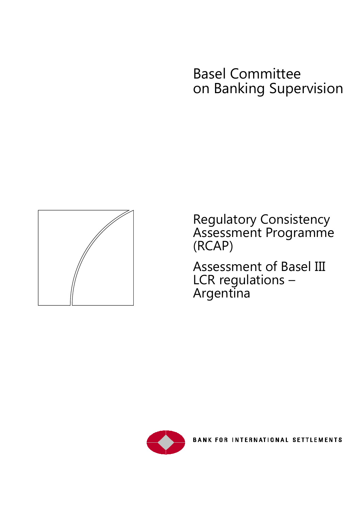# Basel Committee on Banking Supervision



Regulatory Consistency Assessment Programme (RCAP)

Assessment of Basel III LCR regulations – Argentina

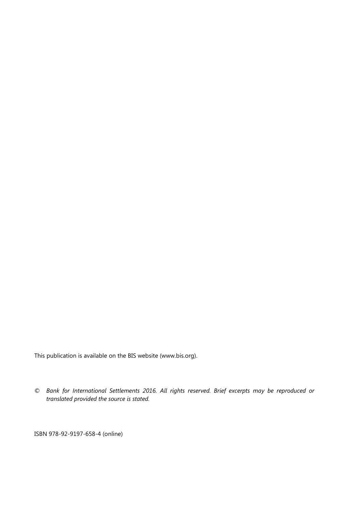This publication is available on the BIS website [\(www.bis.org\)](http://www.bis.org/).

*© Bank for International Settlements 2016. All rights reserved. Brief excerpts may be reproduced or translated provided the source is stated.*

ISBN 978-92-9197-658-4 (online)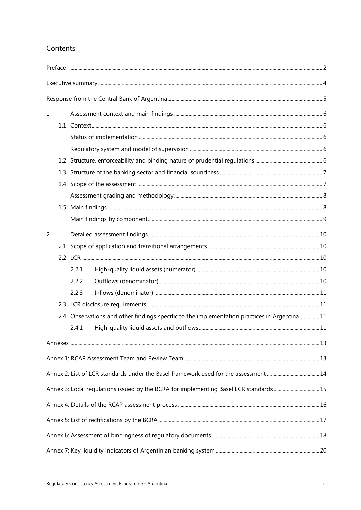# Contents

| $\mathbf 1$    |                                                                                              |  |
|----------------|----------------------------------------------------------------------------------------------|--|
|                |                                                                                              |  |
|                |                                                                                              |  |
|                |                                                                                              |  |
|                |                                                                                              |  |
|                |                                                                                              |  |
|                |                                                                                              |  |
|                |                                                                                              |  |
|                |                                                                                              |  |
|                |                                                                                              |  |
| $\overline{2}$ |                                                                                              |  |
|                |                                                                                              |  |
|                |                                                                                              |  |
|                | 2.2.1                                                                                        |  |
|                | 2.2.2                                                                                        |  |
|                | 2.2.3                                                                                        |  |
|                |                                                                                              |  |
|                | 2.4 Observations and other findings specific to the implementation practices in Argentina 11 |  |
|                | 2.4.1                                                                                        |  |
|                |                                                                                              |  |
|                |                                                                                              |  |
|                | Annex 2: List of LCR standards under the Basel framework used for the assessment 14          |  |
|                | Annex 3: Local regulations issued by the BCRA for implementing Basel LCR standards 15        |  |
|                |                                                                                              |  |
|                |                                                                                              |  |
|                |                                                                                              |  |
|                |                                                                                              |  |
|                |                                                                                              |  |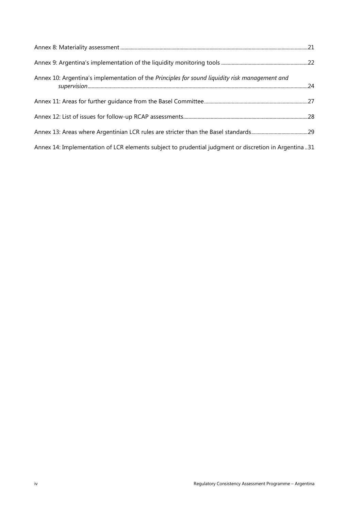| Annex 10: Argentina's implementation of the Principles for sound liquidity risk management and       |  |
|------------------------------------------------------------------------------------------------------|--|
|                                                                                                      |  |
|                                                                                                      |  |
|                                                                                                      |  |
| Annex 14: Implementation of LCR elements subject to prudential judgment or discretion in Argentina31 |  |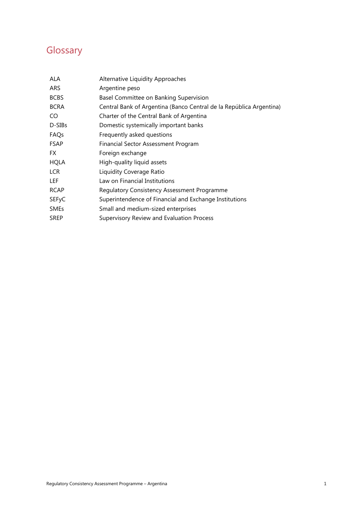# **Glossary**

| <b>ALA</b>   | Alternative Liquidity Approaches                                    |
|--------------|---------------------------------------------------------------------|
| ARS          | Argentine peso                                                      |
| <b>BCBS</b>  | Basel Committee on Banking Supervision                              |
| <b>BCRA</b>  | Central Bank of Argentina (Banco Central de la República Argentina) |
| CO.          | Charter of the Central Bank of Argentina                            |
| D-SIBs       | Domestic systemically important banks                               |
| FAQs         | Frequently asked questions                                          |
| <b>FSAP</b>  | Financial Sector Assessment Program                                 |
| FX.          | Foreign exchange                                                    |
| <b>HQLA</b>  | High-quality liquid assets                                          |
| LCR          | Liquidity Coverage Ratio                                            |
| LEF          | Law on Financial Institutions                                       |
| <b>RCAP</b>  | Regulatory Consistency Assessment Programme                         |
| <b>SEFyC</b> | Superintendence of Financial and Exchange Institutions              |
| <b>SMEs</b>  | Small and medium-sized enterprises                                  |
| <b>SREP</b>  | Supervisory Review and Evaluation Process                           |
|              |                                                                     |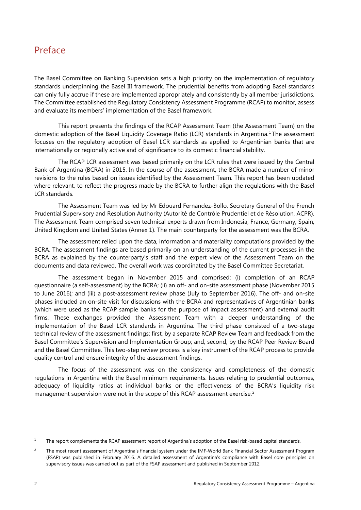# <span id="page-5-0"></span>Preface

The Basel Committee on Banking Supervision sets a high priority on the implementation of regulatory standards underpinning the Basel III framework. The prudential benefits from adopting Basel standards can only fully accrue if these are implemented appropriately and consistently by all member jurisdictions. The Committee established the Regulatory Consistency Assessment Programme (RCAP) to monitor, assess and evaluate its members' implementation of the Basel framework.

This report presents the findings of the RCAP Assessment Team (the Assessment Team) on the domestic adoption of the Basel Liquidity Coverage Ratio (LCR) standards in Argentina. [1](#page-5-1) The assessment focuses on the regulatory adoption of Basel LCR standards as applied to Argentinian banks that are internationally or regionally active and of significance to its domestic financial stability.

The RCAP LCR assessment was based primarily on the LCR rules that were issued by the Central Bank of Argentina (BCRA) in 2015. In the course of the assessment, the BCRA made a number of minor revisions to the rules based on issues identified by the Assessment Team. This report has been updated where relevant, to reflect the progress made by the BCRA to further align the regulations with the Basel LCR standards.

The Assessment Team was led by Mr Edouard Fernandez-Bollo, Secretary General of the French Prudential Supervisory and Resolution Authority (Autorité de Contrôle Prudentiel et de Résolution, ACPR). The Assessment Team comprised seven technical experts drawn from Indonesia, France, Germany, Spain, United Kingdom and United States (Annex 1). The main counterparty for the assessment was the BCRA.

The assessment relied upon the data, information and materiality computations provided by the BCRA. The assessment findings are based primarily on an understanding of the current processes in the BCRA as explained by the counterparty's staff and the expert view of the Assessment Team on the documents and data reviewed. The overall work was coordinated by the Basel Committee Secretariat.

The assessment began in November 2015 and comprised: (i) completion of an RCAP questionnaire (a self-assessment) by the BCRA; (ii) an off- and on-site assessment phase (November 2015 to June 2016); and (iii) a post-assessment review phase (July to September 2016). The off- and on-site phases included an on-site visit for discussions with the BCRA and representatives of Argentinian banks (which were used as the RCAP sample banks for the purpose of impact assessment) and external audit firms. These exchanges provided the Assessment Team with a deeper understanding of the implementation of the Basel LCR standards in Argentina. The third phase consisted of a two-stage technical review of the assessment findings: first, by a separate RCAP Review Team and feedback from the Basel Committee's Supervision and Implementation Group; and, second, by the RCAP Peer Review Board and the Basel Committee. This two-step review process is a key instrument of the RCAP process to provide quality control and ensure integrity of the assessment findings.

The focus of the assessment was on the consistency and completeness of the domestic regulations in Argentina with the Basel minimum requirements. Issues relating to prudential outcomes, adequacy of liquidity ratios at individual banks or the effectiveness of the BCRA's liquidity risk management supervision were not in the scope of this RCAP assessment exercise.<sup>[2](#page-5-2)</sup>

<span id="page-5-1"></span><sup>&</sup>lt;sup>1</sup> The report complements the RCAP assessment report of Argentina's adoption of the Basel risk-based capital standards.

<span id="page-5-2"></span><sup>&</sup>lt;sup>2</sup> The most recent assessment of Argentina's financial system under the IMF-World Bank Financial Sector Assessment Program (FSAP) was published in February 2016. A detailed assessment of Argentina's compliance with Basel core principles on supervisory issues was carried out as part of the FSAP assessment and published in September 2012.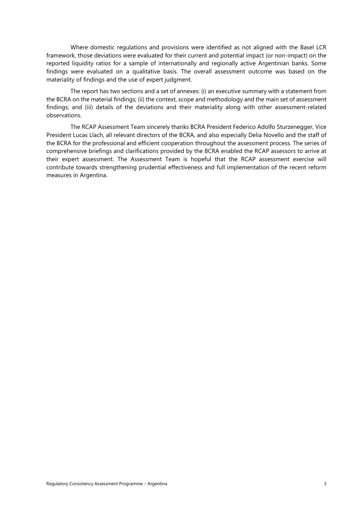Where domestic regulations and provisions were identified as not aligned with the Basel LCR framework, those deviations were evaluated for their current and potential impact (or non-impact) on the reported liquidity ratios for a sample of internationally and regionally active Argentinian banks. Some findings were evaluated on a qualitative basis. The overall assessment outcome was based on the materiality of findings and the use of expert judgment.

The report has two sections and a set of annexes: (i) an executive summary with a statement from the BCRA on the material findings; (ii) the context, scope and methodology and the main set of assessment findings; and (iii) details of the deviations and their materiality along with other assessment-related observations.

The RCAP Assessment Team sincerely thanks BCRA President Federico Adolfo Sturzenegger, Vice President Lucas Llach, all relevant directors of the BCRA, and also especially Delia Novello and the staff of the BCRA for the professional and efficient cooperation throughout the assessment process. The series of comprehensive briefings and clarifications provided by the BCRA enabled the RCAP assessors to arrive at their expert assessment. The Assessment Team is hopeful that the RCAP assessment exercise will contribute towards strengthening prudential effectiveness and full implementation of the recent reform measures in Argentina.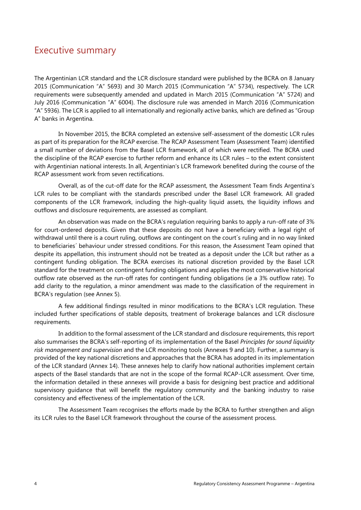# <span id="page-7-0"></span>Executive summary

The Argentinian LCR standard and the LCR disclosure standard were published by the BCRA on 8 January 2015 (Communication "A" 5693) and 30 March 2015 (Communication "A" 5734), respectively. The LCR requirements were subsequently amended and updated in March 2015 (Communication "A" 5724) and July 2016 (Communication "A" 6004). The disclosure rule was amended in March 2016 (Communication "A" 5936). The LCR is applied to all internationally and regionally active banks, which are defined as "Group A" banks in Argentina.

In November 2015, the BCRA completed an extensive self-assessment of the domestic LCR rules as part of its preparation for the RCAP exercise. The RCAP Assessment Team (Assessment Team) identified a small number of deviations from the Basel LCR framework, all of which were rectified. The BCRA used the discipline of the RCAP exercise to further reform and enhance its LCR rules – to the extent consistent with Argentinian national interests. In all, Argentinian's LCR framework benefited during the course of the RCAP assessment work from seven rectifications.

Overall, as of the cut-off date for the RCAP assessment, the Assessment Team finds Argentina's LCR rules to be compliant with the standards prescribed under the Basel LCR framework. All graded components of the LCR framework, including the high-quality liquid assets, the liquidity inflows and outflows and disclosure requirements, are assessed as compliant.

An observation was made on the BCRA's regulation requiring banks to apply a run-off rate of 3% for court-ordered deposits. Given that these deposits do not have a beneficiary with a legal right of withdrawal until there is a court ruling, outflows are contingent on the court´s ruling and in no way linked to beneficiaries´ behaviour under stressed conditions. For this reason, the Assessment Team opined that despite its appellation, this instrument should not be treated as a deposit under the LCR but rather as a contingent funding obligation. The BCRA exercises its national discretion provided by the Basel LCR standard for the treatment on contingent funding obligations and applies the most conservative historical outflow rate observed as the run-off rates for contingent funding obligations (ie a 3% outflow rate). To add clarity to the regulation, a minor amendment was made to the classification of the requirement in BCRA's regulation (see Annex 5).

A few additional findings resulted in minor modifications to the BCRA's LCR regulation. These included further specifications of stable deposits, treatment of brokerage balances and LCR disclosure requirements.

In addition to the formal assessment of the LCR standard and disclosure requirements, this report also summarises the BCRA's self-reporting of its implementation of the Basel *Principles for sound liquidity risk management and supervision* and the LCR monitoring tools (Annexes 9 and 10). Further, a summary is provided of the key national discretions and approaches that the BCRA has adopted in its implementation of the LCR standard (Annex 14). These annexes help to clarify how national authorities implement certain aspects of the Basel standards that are not in the scope of the formal RCAP-LCR assessment. Over time, the information detailed in these annexes will provide a basis for designing best practice and additional supervisory guidance that will benefit the regulatory community and the banking industry to raise consistency and effectiveness of the implementation of the LCR.

The Assessment Team recognises the efforts made by the BCRA to further strengthen and align its LCR rules to the Basel LCR framework throughout the course of the assessment process.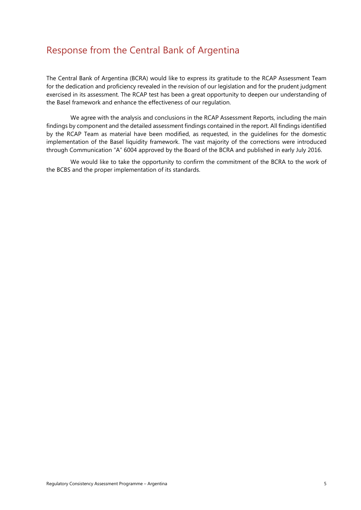# <span id="page-8-0"></span>Response from the Central Bank of Argentina

The Central Bank of Argentina (BCRA) would like to express its gratitude to the RCAP Assessment Team for the dedication and proficiency revealed in the revision of our legislation and for the prudent judgment exercised in its assessment. The RCAP test has been a great opportunity to deepen our understanding of the Basel framework and enhance the effectiveness of our regulation.

We agree with the analysis and conclusions in the RCAP Assessment Reports, including the main findings by component and the detailed assessment findings contained in the report. All findings identified by the RCAP Team as material have been modified, as requested, in the guidelines for the domestic implementation of the Basel liquidity framework. The vast majority of the corrections were introduced through Communication "A" 6004 approved by the Board of the BCRA and published in early July 2016.

We would like to take the opportunity to confirm the commitment of the BCRA to the work of the BCBS and the proper implementation of its standards.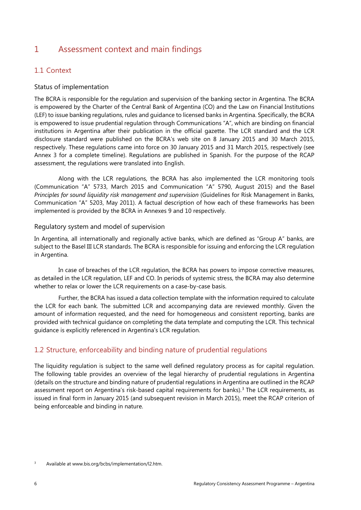# <span id="page-9-0"></span>1 Assessment context and main findings

### <span id="page-9-1"></span>1.1 Context

### <span id="page-9-2"></span>Status of implementation

The BCRA is responsible for the regulation and supervision of the banking sector in Argentina. The BCRA is empowered by the Charter of the Central Bank of Argentina (CO) and the Law on Financial Institutions (LEF) to issue banking regulations, rules and guidance to licensed banks in Argentina. Specifically, the BCRA is empowered to issue prudential regulation through Communications "A", which are binding on financial institutions in Argentina after their publication in the official gazette. The LCR standard and the LCR disclosure standard were published on the BCRA's web site on 8 January 2015 and 30 March 2015, respectively. These regulations came into force on 30 January 2015 and 31 March 2015, respectively (see Annex 3 for a complete timeline). Regulations are published in Spanish. For the purpose of the RCAP assessment, the regulations were translated into English.

Along with the LCR regulations, the BCRA has also implemented the LCR monitoring tools (Communication "A" 5733, March 2015 and Communication "A" 5790, August 2015) and the Basel *Principles for sound liquidity risk management and supervision* (Guidelines for Risk Management in Banks, Communication "A" 5203, May 2011). A factual description of how each of these frameworks has been implemented is provided by the BCRA in Annexes 9 and 10 respectively.

#### <span id="page-9-3"></span>Regulatory system and model of supervision

In Argentina, all internationally and regionally active banks, which are defined as "Group A" banks, are subject to the Basel III LCR standards. The BCRA is responsible for issuing and enforcing the LCR regulation in Argentina.

In case of breaches of the LCR regulation, the BCRA has powers to impose corrective measures, as detailed in the LCR regulation, LEF and CO. In periods of systemic stress, the BCRA may also determine whether to relax or lower the LCR requirements on a case-by-case basis.

Further, the BCRA has issued a data collection template with the information required to calculate the LCR for each bank. The submitted LCR and accompanying data are reviewed monthly. Given the amount of information requested, and the need for homogeneous and consistent reporting, banks are provided with technical guidance on completing the data template and computing the LCR. This technical guidance is explicitly referenced in Argentina's LCR regulation.

### <span id="page-9-4"></span>1.2 Structure, enforceability and binding nature of prudential regulations

The liquidity regulation is subject to the same well defined regulatory process as for capital regulation. The following table provides an overview of the legal hierarchy of prudential regulations in Argentina (details on the structure and binding nature of prudential regulations in Argentina are outlined in the RCAP assessment report on Argentina's risk-based capital requirements for banks).<sup>[3](#page-9-5)</sup> The LCR requirements, as issued in final form in January 2015 (and subsequent revision in March 2015), meet the RCAP criterion of being enforceable and binding in nature.

<span id="page-9-5"></span><sup>&</sup>lt;sup>3</sup> Available at www.bis.org/bcbs/implementation/l2.htm.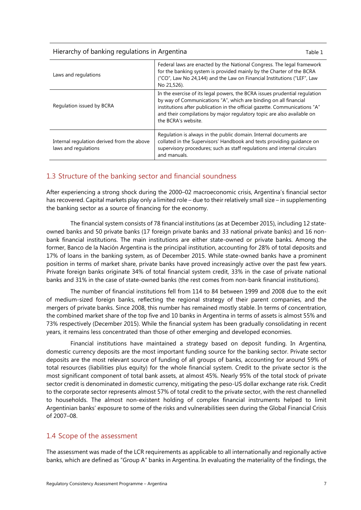#### Hierarchy of banking regulations in Argentina Table 1

| Laws and regulations                                               | Federal laws are enacted by the National Congress. The legal framework<br>for the banking system is provided mainly by the Charter of the BCRA<br>("CO", Law No 24,144) and the Law on Financial Institutions ("LEF", Law<br>No 21,526).                                                                                      |  |
|--------------------------------------------------------------------|-------------------------------------------------------------------------------------------------------------------------------------------------------------------------------------------------------------------------------------------------------------------------------------------------------------------------------|--|
| Regulation issued by BCRA                                          | In the exercise of its legal powers, the BCRA issues prudential regulation<br>by way of Communications "A", which are binding on all financial<br>institutions after publication in the official gazette. Communications "A"<br>and their compilations by major regulatory topic are also available on<br>the BCRA's website. |  |
| Internal regulation derived from the above<br>laws and regulations | Regulation is always in the public domain. Internal documents are<br>collated in the Supervisors' Handbook and texts providing guidance on<br>supervisory procedures; such as staff regulations and internal circulars<br>and manuals.                                                                                        |  |

### <span id="page-10-0"></span>1.3 Structure of the banking sector and financial soundness

After experiencing a strong shock during the 2000–02 macroeconomic crisis, Argentina's financial sector has recovered. Capital markets play only a limited role – due to their relatively small size – in supplementing the banking sector as a source of financing for the economy.

The financial system consists of 78 financial institutions (as at December 2015), including 12 stateowned banks and 50 private banks (17 foreign private banks and 33 national private banks) and 16 nonbank financial institutions. The main institutions are either state-owned or private banks. Among the former, Banco de la Nación Argentina is the principal institution, accounting for 28% of total deposits and 17% of loans in the banking system, as of December 2015. While state-owned banks have a prominent position in terms of market share, private banks have proved increasingly active over the past few years. Private foreign banks originate 34% of total financial system credit, 33% in the case of private national banks and 31% in the case of state-owned banks (the rest comes from non-bank financial institutions).

The number of financial institutions fell from 114 to 84 between 1999 and 2008 due to the exit of medium-sized foreign banks, reflecting the regional strategy of their parent companies, and the mergers of private banks. Since 2008, this number has remained mostly stable. In terms of concentration, the combined market share of the top five and 10 banks in Argentina in terms of assets is almost 55% and 73% respectively (December 2015). While the financial system has been gradually consolidating in recent years, it remains less concentrated than those of other emerging and developed economies.

Financial institutions have maintained a strategy based on deposit funding. In Argentina, domestic currency deposits are the most important funding source for the banking sector. Private sector deposits are the most relevant source of funding of all groups of banks, accounting for around 59% of total resources (liabilities plus equity) for the whole financial system. Credit to the private sector is the most significant component of total bank assets, at almost 45%. Nearly 95% of the total stock of private sector credit is denominated in domestic currency, mitigating the peso-US dollar exchange rate risk. Credit to the corporate sector represents almost 57% of total credit to the private sector, with the rest channelled to households. The almost non-existent holding of complex financial instruments helped to limit Argentinian banks' exposure to some of the risks and vulnerabilities seen during the Global Financial Crisis of 2007–08.

### <span id="page-10-1"></span>1.4 Scope of the assessment

The assessment was made of the LCR requirements as applicable to all internationally and regionally active banks, which are defined as "Group A" banks in Argentina. In evaluating the materiality of the findings, the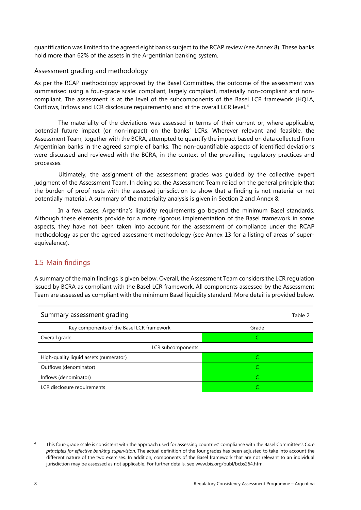quantification was limited to the agreed eight banks subject to the RCAP review (see Annex 8). These banks hold more than 62% of the assets in the Argentinian banking system.

### <span id="page-11-0"></span>Assessment grading and methodology

As per the RCAP methodology approved by the Basel Committee, the outcome of the assessment was summarised using a four-grade scale: compliant, largely compliant, materially non-compliant and noncompliant. The assessment is at the level of the subcomponents of the Basel LCR framework (HQLA, Outflows, Inflows and LCR disclosure requirements) and at the overall LCR level. [4](#page-11-2)

The materiality of the deviations was assessed in terms of their current or, where applicable, potential future impact (or non-impact) on the banks' LCRs. Wherever relevant and feasible, the Assessment Team, together with the BCRA, attempted to quantify the impact based on data collected from Argentinian banks in the agreed sample of banks. The non-quantifiable aspects of identified deviations were discussed and reviewed with the BCRA, in the context of the prevailing regulatory practices and processes.

Ultimately, the assignment of the assessment grades was guided by the collective expert judgment of the Assessment Team. In doing so, the Assessment Team relied on the general principle that the burden of proof rests with the assessed jurisdiction to show that a finding is not material or not potentially material. A summary of the materiality analysis is given in Section 2 and Annex 8.

In a few cases, Argentina's liquidity requirements go beyond the minimum Basel standards. Although these elements provide for a more rigorous implementation of the Basel framework in some aspects, they have not been taken into account for the assessment of compliance under the RCAP methodology as per the agreed assessment methodology (see Annex 13 for a listing of areas of superequivalence).

### <span id="page-11-1"></span>1.5 Main findings

A summary of the main findings is given below. Overall, the Assessment Team considers the LCR regulation issued by BCRA as compliant with the Basel LCR framework. All components assessed by the Assessment Team are assessed as compliant with the minimum Basel liquidity standard. More detail is provided below.

| Summary assessment grading                | Table 2 |
|-------------------------------------------|---------|
| Key components of the Basel LCR framework | Grade   |
| Overall grade                             |         |
| LCR subcomponents                         |         |
| High-quality liquid assets (numerator)    |         |
| Outflows (denominator)                    |         |
| Inflows (denominator)                     |         |
| LCR disclosure requirements               |         |

<span id="page-11-2"></span><sup>4</sup> This four-grade scale is consistent with the approach used for assessing countries' compliance with the Basel Committee's *Core principles for effective banking supervision*. The actual definition of the four grades has been adjusted to take into account the different nature of the two exercises. In addition, components of the Basel framework that are not relevant to an individual jurisdiction may be assessed as not applicable. For further details, see [www.bis.org/publ/bcbs264.htm.](http://www.bis.org/publ/bcbs264.htm)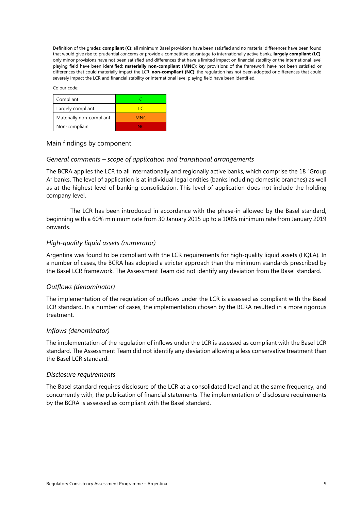Definition of the grades: **compliant (C)**: all minimum Basel provisions have been satisfied and no material differences have been found that would give rise to prudential concerns or provide a competitive advantage to internationally active banks; **largely compliant (LC)**: only minor provisions have not been satisfied and differences that have a limited impact on financial stability or the international level playing field have been identified; **materially non-compliant (MNC)**: key provisions of the framework have not been satisfied or differences that could materially impact the LCR: **non-compliant (NC)**: the regulation has not been adopted or differences that could severely impact the LCR and financial stability or international level playing field have been identified.

Colour code:

| Compliant                |            |
|--------------------------|------------|
| Largely compliant        | ΙC         |
| Materially non-compliant | <b>MNC</b> |
| Non-compliant            | NC.        |

### <span id="page-12-0"></span>Main findings by component

### *General comments – scope of application and transitional arrangements*

The BCRA applies the LCR to all internationally and regionally active banks, which comprise the 18 "Group A" banks. The level of application is at individual legal entities (banks including domestic branches) as well as at the highest level of banking consolidation. This level of application does not include the holding company level.

The LCR has been introduced in accordance with the phase-in allowed by the Basel standard, beginning with a 60% minimum rate from 30 January 2015 up to a 100% minimum rate from January 2019 onwards.

### *High-quality liquid assets (numerator)*

Argentina was found to be compliant with the LCR requirements for high-quality liquid assets (HQLA). In a number of cases, the BCRA has adopted a stricter approach than the minimum standards prescribed by the Basel LCR framework. The Assessment Team did not identify any deviation from the Basel standard.

### *Outflows (denominator)*

The implementation of the regulation of outflows under the LCR is assessed as compliant with the Basel LCR standard. In a number of cases, the implementation chosen by the BCRA resulted in a more rigorous treatment.

### *Inflows (denominator)*

The implementation of the regulation of inflows under the LCR is assessed as compliant with the Basel LCR standard. The Assessment Team did not identify any deviation allowing a less conservative treatment than the Basel LCR standard.

#### *Disclosure requirements*

The Basel standard requires disclosure of the LCR at a consolidated level and at the same frequency, and concurrently with, the publication of financial statements. The implementation of disclosure requirements by the BCRA is assessed as compliant with the Basel standard.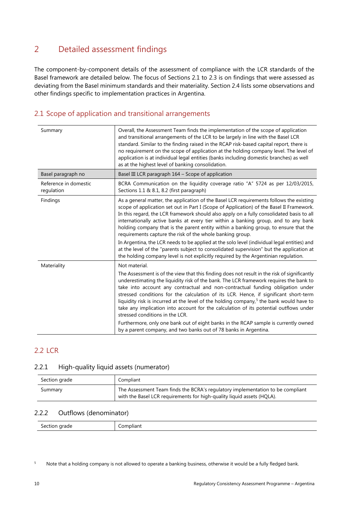# <span id="page-13-0"></span>2 Detailed assessment findings

The component-by-component details of the assessment of compliance with the LCR standards of the Basel framework are detailed below. The focus of Sections 2.1 to 2.3 is on findings that were assessed as deviating from the Basel minimum standards and their materiality. Section 2.4 lists some observations and other findings specific to implementation practices in Argentina.

### <span id="page-13-1"></span>2.1 Scope of application and transitional arrangements

| Summary                             | Overall, the Assessment Team finds the implementation of the scope of application<br>and transitional arrangements of the LCR to be largely in line with the Basel LCR<br>standard. Similar to the finding raised in the RCAP risk-based capital report, there is<br>no requirement on the scope of application at the holding company level. The level of<br>application is at individual legal entities (banks including domestic branches) as well<br>as at the highest level of banking consolidation.                                                                                                                                                                                                                                                                                                   |
|-------------------------------------|--------------------------------------------------------------------------------------------------------------------------------------------------------------------------------------------------------------------------------------------------------------------------------------------------------------------------------------------------------------------------------------------------------------------------------------------------------------------------------------------------------------------------------------------------------------------------------------------------------------------------------------------------------------------------------------------------------------------------------------------------------------------------------------------------------------|
| Basel paragraph no                  | Basel III LCR paragraph 164 - Scope of application                                                                                                                                                                                                                                                                                                                                                                                                                                                                                                                                                                                                                                                                                                                                                           |
| Reference in domestic<br>regulation | BCRA Communication on the liquidity coverage ratio "A" 5724 as per 12/03/2015,<br>Sections 1.1 & 8.1, 8.2 (first paragraph)                                                                                                                                                                                                                                                                                                                                                                                                                                                                                                                                                                                                                                                                                  |
| Findings                            | As a general matter, the application of the Basel LCR requirements follows the existing<br>scope of application set out in Part I (Scope of Application) of the Basel II Framework.<br>In this regard, the LCR framework should also apply on a fully consolidated basis to all<br>internationally active banks at every tier within a banking group, and to any bank<br>holding company that is the parent entity within a banking group, to ensure that the<br>requirements capture the risk of the whole banking group.<br>In Argentina, the LCR needs to be applied at the solo level (individual legal entities) and<br>at the level of the "parents subject to consolidated supervision" but the application at<br>the holding company level is not explicitly required by the Argentinian regulation. |
| Materiality                         | Not material.                                                                                                                                                                                                                                                                                                                                                                                                                                                                                                                                                                                                                                                                                                                                                                                                |
|                                     | The Assessment is of the view that this finding does not result in the risk of significantly<br>underestimating the liquidity risk of the bank. The LCR framework requires the bank to<br>take into account any contractual and non-contractual funding obligation under<br>stressed conditions for the calculation of its LCR. Hence, if significant short-term<br>liquidity risk is incurred at the level of the holding company, <sup>5</sup> the bank would have to<br>take any implication into account for the calculation of its potential outflows under<br>stressed conditions in the LCR.<br>Furthermore, only one bank out of eight banks in the RCAP sample is currently owned                                                                                                                   |
|                                     | by a parent company, and two banks out of 78 banks in Argentina.                                                                                                                                                                                                                                                                                                                                                                                                                                                                                                                                                                                                                                                                                                                                             |

### <span id="page-13-2"></span>2.2 LCR

### <span id="page-13-3"></span>2.2.1 High-quality liquid assets (numerator)

| Section grade | Compliant                                                                                                                                                |
|---------------|----------------------------------------------------------------------------------------------------------------------------------------------------------|
| Summary       | The Assessment Team finds the BCRA's regulatory implementation to be compliant<br>with the Basel LCR requirements for high-quality liquid assets (HQLA). |

### <span id="page-13-4"></span>2.2.2 Outflows (denominator)

| .   | $\sim$ and $\sim$ |
|-----|-------------------|
| . . | .                 |
|     |                   |

<span id="page-13-5"></span><sup>5</sup> Note that a holding company is not allowed to operate a banking business, otherwise it would be a fully fledged bank.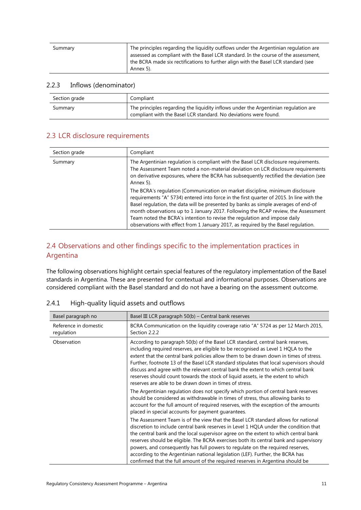| Summary | The principles regarding the liquidity outflows under the Argentinian regulation are<br>assessed as compliant with the Basel LCR standard. In the course of the assessment, |
|---------|-----------------------------------------------------------------------------------------------------------------------------------------------------------------------------|
|         | the BCRA made six rectifications to further align with the Basel LCR standard (see<br>Annex 5).                                                                             |

#### <span id="page-14-0"></span>2.2.3 Inflows (denominator)

| Section grade | Compliant                                                                                                                                               |
|---------------|---------------------------------------------------------------------------------------------------------------------------------------------------------|
| Summary       | The principles regarding the liquidity inflows under the Argentinian regulation are<br>compliant with the Basel LCR standard. No deviations were found. |

### <span id="page-14-1"></span>2.3 LCR disclosure requirements

| Section grade | Compliant                                                                                                                                                                                                                                                                                                                                                                                                                                                                                                                |
|---------------|--------------------------------------------------------------------------------------------------------------------------------------------------------------------------------------------------------------------------------------------------------------------------------------------------------------------------------------------------------------------------------------------------------------------------------------------------------------------------------------------------------------------------|
| Summary       | The Argentinian regulation is compliant with the Basel LCR disclosure requirements.<br>The Assessment Team noted a non-material deviation on LCR disclosure requirements<br>on derivative exposures, where the BCRA has subsequently rectified the deviation (see<br>Annex 5).                                                                                                                                                                                                                                           |
|               | The BCRA's regulation (Communication on market discipline, minimum disclosure<br>requirements "A" 5734) entered into force in the first quarter of 2015. In line with the<br>Basel regulation, the data will be presented by banks as simple averages of end-of<br>month observations up to 1 January 2017. Following the RCAP review, the Assessment<br>Team noted the BCRA's intention to revise the regulation and impose daily<br>observations with effect from 1 January 2017, as required by the Basel requlation. |

### <span id="page-14-2"></span>2.4 Observations and other findings specific to the implementation practices in Argentina

The following observations highlight certain special features of the regulatory implementation of the Basel standards in Argentina. These are presented for contextual and informational purposes. Observations are considered compliant with the Basel standard and do not have a bearing on the assessment outcome.

| Basel paragraph no                  | Basel III LCR paragraph 50(b) – Central bank reserves                                                                                                                                                                                                                                                                                                                                                                                                                                                                                                                                                            |
|-------------------------------------|------------------------------------------------------------------------------------------------------------------------------------------------------------------------------------------------------------------------------------------------------------------------------------------------------------------------------------------------------------------------------------------------------------------------------------------------------------------------------------------------------------------------------------------------------------------------------------------------------------------|
| Reference in domestic<br>regulation | BCRA Communication on the liquidity coverage ratio "A" 5724 as per 12 March 2015,<br>Section 2.2.2                                                                                                                                                                                                                                                                                                                                                                                                                                                                                                               |
| Observation                         | According to paragraph 50(b) of the Basel LCR standard, central bank reserves,<br>including required reserves, are eligible to be recognised as Level 1 HQLA to the<br>extent that the central bank policies allow them to be drawn down in times of stress.<br>Further, footnote 13 of the Basel LCR standard stipulates that local supervisors should<br>discuss and agree with the relevant central bank the extent to which central bank<br>reserves should count towards the stock of liquid assets, ie the extent to which<br>reserves are able to be drawn down in times of stress.                       |
|                                     | The Argentinian regulation does not specify which portion of central bank reserves<br>should be considered as withdrawable in times of stress, thus allowing banks to<br>account for the full amount of required reserves, with the exception of the amounts<br>placed in special accounts for payment guarantees.                                                                                                                                                                                                                                                                                               |
|                                     | The Assessment Team is of the view that the Basel LCR standard allows for national<br>discretion to include central bank reserves in Level 1 HQLA under the condition that<br>the central bank and the local supervisor agree on the extent to which central bank<br>reserves should be eligible. The BCRA exercises both its central bank and supervisory<br>powers, and consequently has full powers to regulate on the required reserves,<br>according to the Argentinian national legislation (LEF). Further, the BCRA has<br>confirmed that the full amount of the required reserves in Argentina should be |

### <span id="page-14-3"></span>2.4.1 High-quality liquid assets and outflows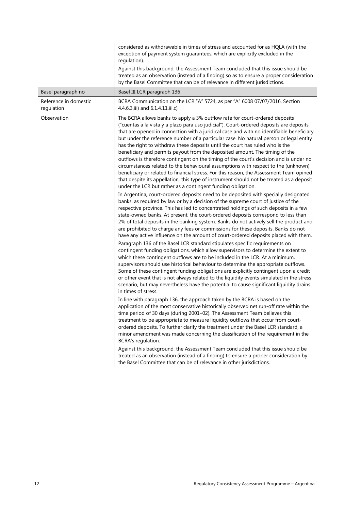|                                     | considered as withdrawable in times of stress and accounted for as HQLA (with the<br>exception of payment system guarantees, which are explicitly excluded in the<br>regulation).<br>Against this background, the Assessment Team concluded that this issue should be<br>treated as an observation (instead of a finding) so as to ensure a proper consideration<br>by the Basel Committee that can be of relevance in different jurisdictions.                                                                                                                                                                                                                                                                                                                                                                                                                                                                                                                                                                                                                                                                                                                                                                                         |  |
|-------------------------------------|-----------------------------------------------------------------------------------------------------------------------------------------------------------------------------------------------------------------------------------------------------------------------------------------------------------------------------------------------------------------------------------------------------------------------------------------------------------------------------------------------------------------------------------------------------------------------------------------------------------------------------------------------------------------------------------------------------------------------------------------------------------------------------------------------------------------------------------------------------------------------------------------------------------------------------------------------------------------------------------------------------------------------------------------------------------------------------------------------------------------------------------------------------------------------------------------------------------------------------------------|--|
| Basel paragraph no                  | Basel III LCR paragraph 136                                                                                                                                                                                                                                                                                                                                                                                                                                                                                                                                                                                                                                                                                                                                                                                                                                                                                                                                                                                                                                                                                                                                                                                                             |  |
| Reference in domestic<br>regulation | BCRA Communication on the LCR "A" 5724, as per "A" 6008 07/07/2016, Section<br>4.4.6.3.iii) and 6.1.4.11.iii.c)                                                                                                                                                                                                                                                                                                                                                                                                                                                                                                                                                                                                                                                                                                                                                                                                                                                                                                                                                                                                                                                                                                                         |  |
| Observation                         | The BCRA allows banks to apply a 3% outflow rate for court-ordered deposits<br>("cuentas a la vista y a plazo para uso judicial"). Court-ordered deposits are deposits<br>that are opened in connection with a juridical case and with no identifiable beneficiary<br>but under the reference number of a particular case. No natural person or legal entity<br>has the right to withdraw these deposits until the court has ruled who is the<br>beneficiary and permits payout from the deposited amount. The timing of the<br>outflows is therefore contingent on the timing of the court's decision and is under no<br>circumstances related to the behavioural assumptions with respect to the (unknown)<br>beneficiary or related to financial stress. For this reason, the Assessment Team opined<br>that despite its appellation, this type of instrument should not be treated as a deposit<br>under the LCR but rather as a contingent funding obligation.<br>In Argentina, court-ordered deposits need to be deposited with specially designated<br>banks, as required by law or by a decision of the supreme court of justice of the<br>respective province. This has led to concentrated holdings of such deposits in a few |  |
|                                     | state-owned banks. At present, the court-ordered deposits correspond to less than<br>2% of total deposits in the banking system. Banks do not actively sell the product and<br>are prohibited to charge any fees or commissions for these deposits. Banks do not<br>have any active influence on the amount of court-ordered deposits placed with them.                                                                                                                                                                                                                                                                                                                                                                                                                                                                                                                                                                                                                                                                                                                                                                                                                                                                                 |  |
|                                     | Paragraph 136 of the Basel LCR standard stipulates specific requirements on<br>contingent funding obligations, which allow supervisors to determine the extent to<br>which these contingent outflows are to be included in the LCR. At a minimum,<br>supervisors should use historical behaviour to determine the appropriate outflows.<br>Some of these contingent funding obligations are explicitly contingent upon a credit<br>or other event that is not always related to the liquidity events simulated in the stress<br>scenario, but may nevertheless have the potential to cause significant liquidity drains<br>in times of stress.                                                                                                                                                                                                                                                                                                                                                                                                                                                                                                                                                                                          |  |
|                                     | In line with paragraph 136, the approach taken by the BCRA is based on the<br>application of the most conservative historically observed net run-off rate within the<br>time period of 30 days (during 2001-02). The Assessment Team believes this<br>treatment to be appropriate to measure liquidity outflows that occur from court-<br>ordered deposits. To further clarify the treatment under the Basel LCR standard, a<br>minor amendment was made concerning the classification of the requirement in the<br>BCRA's regulation.                                                                                                                                                                                                                                                                                                                                                                                                                                                                                                                                                                                                                                                                                                  |  |
|                                     | Against this background, the Assessment Team concluded that this issue should be<br>treated as an observation (instead of a finding) to ensure a proper consideration by<br>the Basel Committee that can be of relevance in other jurisdictions.                                                                                                                                                                                                                                                                                                                                                                                                                                                                                                                                                                                                                                                                                                                                                                                                                                                                                                                                                                                        |  |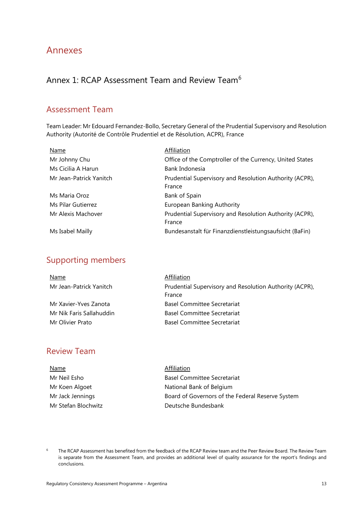# <span id="page-16-0"></span>Annexes

# <span id="page-16-1"></span>Annex 1: RCAP Assessment Team and Review Team<sup>[6](#page-16-2)</sup>

### Assessment Team

Team Leader: Mr Edouard Fernandez-Bollo, Secretary General of the Prudential Supervisory and Resolution Authority (Autorité de Contrôle Prudentiel et de Résolution, ACPR), France

| Name                    | Affiliation                                              |
|-------------------------|----------------------------------------------------------|
| Mr Johnny Chu           | Office of the Comptroller of the Currency, United States |
| Ms Cicilia A Harun      | Bank Indonesia                                           |
| Mr Jean-Patrick Yanitch | Prudential Supervisory and Resolution Authority (ACPR),  |
|                         | France                                                   |
| Ms Maria Oroz           | Bank of Spain                                            |
| Ms Pilar Gutierrez      | European Banking Authority                               |
| Mr Alexis Machover      | Prudential Supervisory and Resolution Authority (ACPR),  |
|                         | France                                                   |
| Ms Isabel Mailly        | Bundesanstalt für Finanzdienstleistungsaufsicht (BaFin)  |

# Supporting members

| <u>Name</u>              | Affiliation                                             |
|--------------------------|---------------------------------------------------------|
| Mr Jean-Patrick Yanitch  | Prudential Supervisory and Resolution Authority (ACPR), |
|                          | France                                                  |
| Mr Xavier-Yves Zanota    | <b>Basel Committee Secretariat</b>                      |
| Mr Nik Faris Sallahuddin | Basel Committee Secretariat                             |
| Mr Olivier Prato         | Basel Committee Secretariat                             |

# Review Team

| <b>Name</b>         | Affiliation                                      |
|---------------------|--------------------------------------------------|
| Mr Neil Esho        | <b>Basel Committee Secretariat</b>               |
| Mr Koen Algoet      | National Bank of Belgium                         |
| Mr Jack Jennings    | Board of Governors of the Federal Reserve System |
| Mr Stefan Blochwitz | Deutsche Bundesbank                              |
|                     |                                                  |

<span id="page-16-2"></span><sup>6</sup> The RCAP Assessment has benefited from the feedback of the RCAP Review team and the Peer Review Board. The Review Team is separate from the Assessment Team, and provides an additional level of quality assurance for the report's findings and conclusions.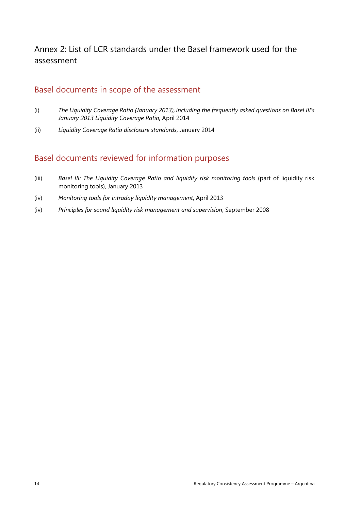# <span id="page-17-0"></span>Annex 2: List of LCR standards under the Basel framework used for the assessment

## Basel documents in scope of the assessment

- (i) *The Liquidity Coverage Ratio (January 2013), including the frequently asked questions on Basel III's January 2013 Liquidity Coverage Ratio*, April 2014
- (ii) *Liquidity Coverage Ratio disclosure standards*, January 2014

## Basel documents reviewed for information purposes

- (iii) *Basel III: The Liquidity Coverage Ratio and liquidity risk monitoring tools* (part of liquidity risk monitoring tools), January 2013
- (iv) *Monitoring tools for intraday liquidity management*, April 2013
- (iv) *Principles for sound liquidity risk management and supervision*, September 2008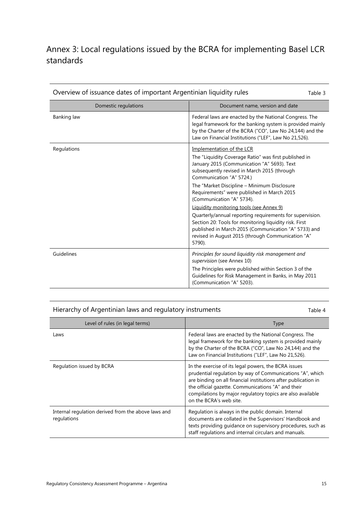# <span id="page-18-0"></span>Annex 3: Local regulations issued by the BCRA for implementing Basel LCR standards

| Overview of issuance dates of important Argentinian liquidity rules<br>Table 3 |                                                                                                                                                                                                                                           |  |  |
|--------------------------------------------------------------------------------|-------------------------------------------------------------------------------------------------------------------------------------------------------------------------------------------------------------------------------------------|--|--|
| Domestic regulations                                                           | Document name, version and date                                                                                                                                                                                                           |  |  |
| Banking law                                                                    | Federal laws are enacted by the National Congress. The<br>legal framework for the banking system is provided mainly<br>by the Charter of the BCRA ("CO", Law No 24,144) and the<br>Law on Financial Institutions ("LEF", Law No 21,526).  |  |  |
| Regulations                                                                    | Implementation of the LCR<br>The "Liquidity Coverage Ratio" was first published in<br>January 2015 (Communication "A" 5693). Text<br>subsequently revised in March 2015 (through<br>Communication "A" 5724.)                              |  |  |
|                                                                                | The "Market Discipline - Minimum Disclosure<br>Requirements" were published in March 2015<br>(Communication "A" 5734).                                                                                                                    |  |  |
|                                                                                | Liquidity monitoring tools (see Annex 9)                                                                                                                                                                                                  |  |  |
|                                                                                | Quarterly/annual reporting requirements for supervision.<br>Section 20: Tools for monitoring liquidity risk. First<br>published in March 2015 (Communication "A" 5733) and<br>revised in August 2015 (through Communication "A"<br>5790). |  |  |
| Guidelines                                                                     | Principles for sound liquidity risk management and<br>supervision (see Annex 10)                                                                                                                                                          |  |  |
|                                                                                | The Principles were published within Section 3 of the<br>Guidelines for Risk Management in Banks, in May 2011<br>(Communication "A" 5203).                                                                                                |  |  |

Hierarchy of Argentinian laws and regulatory instruments Table 4

| Level of rules (in legal terms)                                    | <b>Type</b>                                                                                                                                                                                                                                                                                                                        |  |  |
|--------------------------------------------------------------------|------------------------------------------------------------------------------------------------------------------------------------------------------------------------------------------------------------------------------------------------------------------------------------------------------------------------------------|--|--|
| Laws                                                               | Federal laws are enacted by the National Congress. The<br>legal framework for the banking system is provided mainly<br>by the Charter of the BCRA ("CO", Law No 24,144) and the<br>Law on Financial Institutions ("LEF", Law No 21,526).                                                                                           |  |  |
| Regulation issued by BCRA                                          | In the exercise of its legal powers, the BCRA issues<br>prudential regulation by way of Communications "A", which<br>are binding on all financial institutions after publication in<br>the official gazette. Communications "A" and their<br>compilations by major regulatory topics are also available<br>on the BCRA's web site. |  |  |
| Internal regulation derived from the above laws and<br>regulations | Regulation is always in the public domain. Internal<br>documents are collated in the Supervisors' Handbook and<br>texts providing quidance on supervisory procedures, such as<br>staff regulations and internal circulars and manuals.                                                                                             |  |  |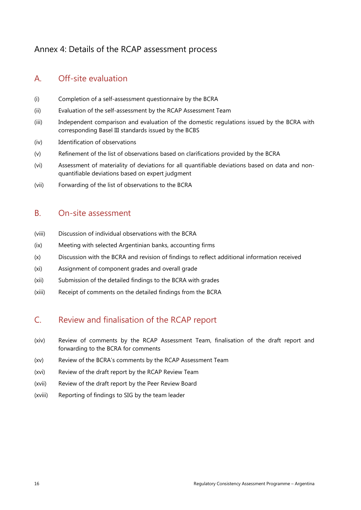# <span id="page-19-0"></span>Annex 4: Details of the RCAP assessment process

# A. Off-site evaluation

- (i) Completion of a self-assessment questionnaire by the BCRA
- (ii) Evaluation of the self-assessment by the RCAP Assessment Team
- (iii) Independent comparison and evaluation of the domestic regulations issued by the BCRA with corresponding Basel III standards issued by the BCBS
- (iv) Identification of observations
- (v) Refinement of the list of observations based on clarifications provided by the BCRA
- (vi) Assessment of materiality of deviations for all quantifiable deviations based on data and nonquantifiable deviations based on expert judgment
- (vii) Forwarding of the list of observations to the BCRA

### B. On-site assessment

- (viii) Discussion of individual observations with the BCRA
- (ix) Meeting with selected Argentinian banks, accounting firms
- (x) Discussion with the BCRA and revision of findings to reflect additional information received
- (xi) Assignment of component grades and overall grade
- (xii) Submission of the detailed findings to the BCRA with grades
- (xiii) Receipt of comments on the detailed findings from the BCRA

### C. Review and finalisation of the RCAP report

- (xiv) Review of comments by the RCAP Assessment Team, finalisation of the draft report and forwarding to the BCRA for comments
- (xv) Review of the BCRA's comments by the RCAP Assessment Team
- (xvi) Review of the draft report by the RCAP Review Team
- (xvii) Review of the draft report by the Peer Review Board
- (xviii) Reporting of findings to SIG by the team leader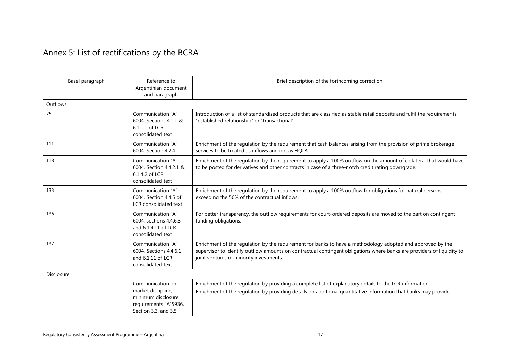# Annex 5: List of rectifications by the BCRA

<span id="page-20-0"></span>

| Basel paragraph   | Reference to<br>Argentinian document<br>and paragraph                                                         | Brief description of the forthcoming correction                                                                                                                                                                                                                                  |
|-------------------|---------------------------------------------------------------------------------------------------------------|----------------------------------------------------------------------------------------------------------------------------------------------------------------------------------------------------------------------------------------------------------------------------------|
| Outflows          |                                                                                                               |                                                                                                                                                                                                                                                                                  |
| 75                | Communication "A"<br>6004, Sections 4.1.1 &<br>6.1.1.1 of LCR<br>consolidated text                            | Introduction of a list of standardised products that are classified as stable retail deposits and fulfil the requirements<br>"established relationship" or "transactional".                                                                                                      |
| 111               | Communication "A"<br>6004, Section 4.2.4                                                                      | Enrichment of the regulation by the requirement that cash balances arising from the provision of prime brokerage<br>services to be treated as inflows and not as HQLA.                                                                                                           |
| 118               | Communication "A"<br>6004, Section 4.4.2.1 &<br>6.1.4.2 of LCR<br>consolidated text                           | Enrichment of the regulation by the requirement to apply a 100% outflow on the amount of collateral that would have<br>to be posted for derivatives and other contracts in case of a three-notch credit rating downgrade.                                                        |
| 133               | Communication "A"<br>6004, Section 4.4.5 of<br>LCR consolidated text                                          | Enrichment of the regulation by the requirement to apply a 100% outflow for obligations for natural persons<br>exceeding the 50% of the contractual inflows.                                                                                                                     |
| 136               | Communication "A"<br>6004, sections 4.4.6.3<br>and 6.1.4.11 of LCR<br>consolidated text                       | For better transparency, the outflow requirements for court-ordered deposits are moved to the part on contingent<br>funding obligations.                                                                                                                                         |
| 137               | Communication "A"<br>6004, Sections 4.4.6.1<br>and 6.1.11 of LCR<br>consolidated text                         | Enrichment of the regulation by the requirement for banks to have a methodology adopted and approved by the<br>supervisor to identify outflow amounts on contractual contingent obligations where banks are providers of liquidity to<br>joint ventures or minority investments. |
| <b>Disclosure</b> |                                                                                                               |                                                                                                                                                                                                                                                                                  |
|                   | Communication on<br>market discipline,<br>minimum disclosure<br>requirements "A"5936,<br>Section 3.3, and 3.5 | Enrichment of the regulation by providing a complete list of explanatory details to the LCR information.<br>Enrichment of the regulation by providing details on additional quantitative information that banks may provide.                                                     |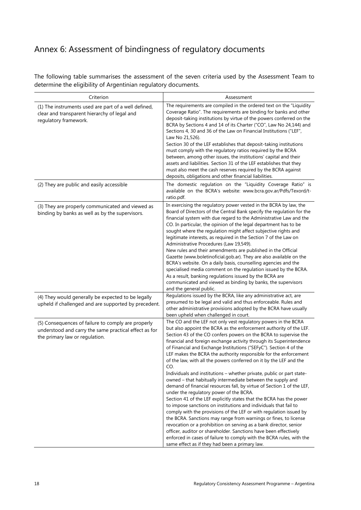# <span id="page-21-0"></span>Annex 6: Assessment of bindingness of regulatory documents

The following table summarises the assessment of the seven criteria used by the Assessment Team to determine the eligibility of Argentinian regulatory documents.

| Criterion                                                                                                                                     | Assessment                                                                                                                                                                                                                                                                                                                                                                                                                                                                                                                                                                                                                                                                                                                                                                                                                                                                                                                                                                                                                                                                                                                                                                                                                                                                                                                  |
|-----------------------------------------------------------------------------------------------------------------------------------------------|-----------------------------------------------------------------------------------------------------------------------------------------------------------------------------------------------------------------------------------------------------------------------------------------------------------------------------------------------------------------------------------------------------------------------------------------------------------------------------------------------------------------------------------------------------------------------------------------------------------------------------------------------------------------------------------------------------------------------------------------------------------------------------------------------------------------------------------------------------------------------------------------------------------------------------------------------------------------------------------------------------------------------------------------------------------------------------------------------------------------------------------------------------------------------------------------------------------------------------------------------------------------------------------------------------------------------------|
| (1) The instruments used are part of a well defined,<br>clear and transparent hierarchy of legal and<br>regulatory framework.                 | The requirements are compiled in the ordered text on the "Liquidity<br>Coverage Ratio". The requirements are binding for banks and other<br>deposit-taking institutions by virtue of the powers conferred on the<br>BCRA by Sections 4 and 14 of its Charter ("CO", Law No 24,144) and<br>Sections 4, 30 and 36 of the Law on Financial Institutions ("LEF",<br>Law No 21,526).<br>Section 30 of the LEF establishes that deposit-taking institutions<br>must comply with the regulatory ratios required by the BCRA<br>between, among other issues, the institutions' capital and their<br>assets and liabilities. Section 31 of the LEF establishes that they<br>must also meet the cash reserves required by the BCRA against<br>deposits, obligations and other financial liabilities.                                                                                                                                                                                                                                                                                                                                                                                                                                                                                                                                  |
| (2) They are public and easily accessible                                                                                                     | The domestic regulation on the "Liquidity Coverage Ratio" is<br>available on the BCRA's website: www.bcra.gov.ar/Pdfs/Texord/t-<br>ratio.pdf.                                                                                                                                                                                                                                                                                                                                                                                                                                                                                                                                                                                                                                                                                                                                                                                                                                                                                                                                                                                                                                                                                                                                                                               |
| (3) They are properly communicated and viewed as<br>binding by banks as well as by the supervisors.                                           | In exercising the regulatory power vested in the BCRA by law, the<br>Board of Directors of the Central Bank specify the regulation for the<br>financial system with due regard to the Administrative Law and the<br>CO. In particular, the opinion of the legal department has to be<br>sought where the regulation might affect subjective rights and<br>legitimate interests, as required in the Section 7 of the Law on<br>Administrative Procedures (Law 19,549).<br>New rules and their amendments are published in the Official<br>Gazette (www.boletinoficial.gob.ar). They are also available on the<br>BCRA's website. On a daily basis, counselling agencies and the<br>specialised media comment on the regulation issued by the BCRA.<br>As a result, banking regulations issued by the BCRA are<br>communicated and viewed as binding by banks, the supervisors<br>and the general public.                                                                                                                                                                                                                                                                                                                                                                                                                     |
| (4) They would generally be expected to be legally<br>upheld if challenged and are supported by precedent.                                    | Regulations issued by the BCRA, like any administrative act, are<br>presumed to be legal and valid and thus enforceable. Rules and<br>other administrative provisions adopted by the BCRA have usually<br>been upheld when challenged in court.                                                                                                                                                                                                                                                                                                                                                                                                                                                                                                                                                                                                                                                                                                                                                                                                                                                                                                                                                                                                                                                                             |
| (5) Consequences of failure to comply are properly<br>understood and carry the same practical effect as for<br>the primary law or regulation. | The CO and the LEF not only vest regulatory powers in the BCRA<br>but also appoint the BCRA as the enforcement authority of the LEF.<br>Section 43 of the CO confers powers on the BCRA to supervise the<br>financial and foreign exchange activity through its Superintendence<br>of Financial and Exchange Institutions ("SEFyC"). Section 4 of the<br>LEF makes the BCRA the authority responsible for the enforcement<br>of the law, with all the powers conferred on it by the LEF and the<br>CO.<br>Individuals and institutions – whether private, public or part state-<br>owned - that habitually intermediate between the supply and<br>demand of financial resources fall, by virtue of Section 1 of the LEF,<br>under the regulatory power of the BCRA.<br>Section 41 of the LEF explicitly states that the BCRA has the power<br>to impose sanctions on institutions and individuals that fail to<br>comply with the provisions of the LEF or with regulation issued by<br>the BCRA. Sanctions may range from warnings or fines, to license<br>revocation or a prohibition on serving as a bank director, senior<br>officer, auditor or shareholder. Sanctions have been effectively<br>enforced in cases of failure to comply with the BCRA rules, with the<br>same effect as if they had been a primary law. |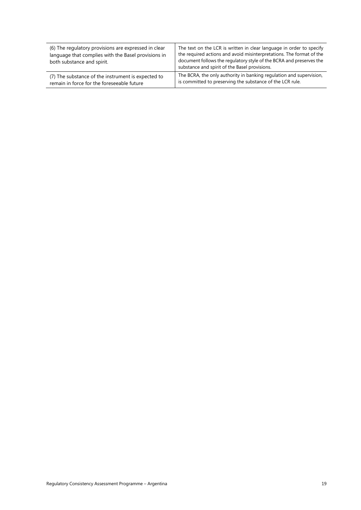| (6) The regulatory provisions are expressed in clear<br>language that complies with the Basel provisions in<br>both substance and spirit. | The text on the LCR is written in clear language in order to specify<br>the required actions and avoid misinterpretations. The format of the<br>document follows the regulatory style of the BCRA and preserves the<br>substance and spirit of the Basel provisions. |
|-------------------------------------------------------------------------------------------------------------------------------------------|----------------------------------------------------------------------------------------------------------------------------------------------------------------------------------------------------------------------------------------------------------------------|
| (7) The substance of the instrument is expected to                                                                                        | The BCRA, the only authority in banking regulation and supervision,                                                                                                                                                                                                  |
| remain in force for the foreseeable future                                                                                                | is committed to preserving the substance of the LCR rule.                                                                                                                                                                                                            |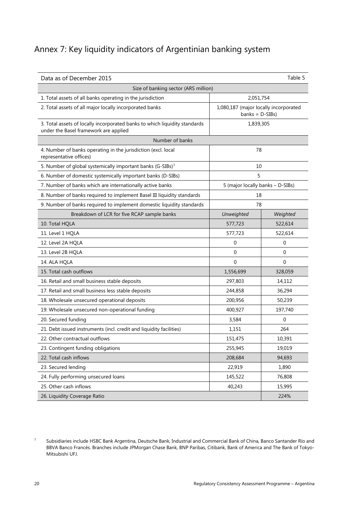# <span id="page-23-0"></span>Annex 7: Key liquidity indicators of Argentinian banking system

| Data as of December 2015<br>Table 5                                                                                 |                                                            |             |  |
|---------------------------------------------------------------------------------------------------------------------|------------------------------------------------------------|-------------|--|
| Size of banking sector (ARS million)                                                                                |                                                            |             |  |
| 1. Total assets of all banks operating in the jurisdiction                                                          | 2,051,754                                                  |             |  |
| 2. Total assets of all major locally incorporated banks                                                             | 1,080,187 (major locally incorporated<br>$banks = D-SIBs)$ |             |  |
| 3. Total assets of locally incorporated banks to which liquidity standards<br>under the Basel framework are applied | 1,839,305                                                  |             |  |
| Number of banks                                                                                                     |                                                            |             |  |
| 4. Number of banks operating in the jurisdiction (excl. local<br>representative offices)                            |                                                            | 78          |  |
| 5. Number of global systemically important banks (G-SIBs) <sup>7</sup>                                              | 10                                                         |             |  |
| 6. Number of domestic systemically important banks (D-SIBs)                                                         | 5                                                          |             |  |
| 7. Number of banks which are internationally active banks                                                           | 5 (major locally banks - D-SIBs)                           |             |  |
| 8. Number of banks required to implement Basel III liquidity standards                                              | 18                                                         |             |  |
| 9. Number of banks required to implement domestic liquidity standards                                               | 78                                                         |             |  |
| Breakdown of LCR for five RCAP sample banks                                                                         | Unweighted                                                 | Weighted    |  |
| 10. Total HQLA                                                                                                      | 577,723                                                    | 522,614     |  |
| 11. Level 1 HQLA                                                                                                    | 577,723                                                    | 522,614     |  |
| 12. Level 2A HQLA                                                                                                   | $\mathbf 0$                                                | 0           |  |
| 13. Level 2B HQLA                                                                                                   | $\mathbf 0$                                                | 0           |  |
| 14. ALA HQLA                                                                                                        | $\mathbf 0$                                                | $\mathbf 0$ |  |
| 15. Total cash outflows                                                                                             | 1,556,699                                                  | 328,059     |  |
| 16. Retail and small business stable deposits                                                                       | 297,803                                                    | 14,112      |  |
| 17. Retail and small business less stable deposits                                                                  | 244,858                                                    | 36,294      |  |
| 18. Wholesale unsecured operational deposits                                                                        | 200,956                                                    | 50,239      |  |
| 19. Wholesale unsecured non-operational funding                                                                     | 400,927                                                    | 197,740     |  |
| 20. Secured funding                                                                                                 | 3,584                                                      | 0           |  |
| 21. Debt issued instruments (incl. credit and liquidity facilities)                                                 | 1,151                                                      | 264         |  |
| 22. Other contractual outflows                                                                                      | 151,475                                                    | 10,391      |  |
| 23. Contingent funding obligations                                                                                  | 255,945                                                    | 19,019      |  |
| 22. Total cash inflows                                                                                              | 208,684                                                    | 94,693      |  |
| 23. Secured lending                                                                                                 | 22,919                                                     | 1,890       |  |
| 24. Fully performing unsecured loans                                                                                | 145,522                                                    | 76,808      |  |
| 25. Other cash inflows                                                                                              | 40,243                                                     | 15,995      |  |
| 26. Liquidity Coverage Ratio                                                                                        |                                                            | 224%        |  |

<span id="page-23-1"></span><sup>7</sup> Subsidiaries include HSBC Bank Argentina, Deutsche Bank, Industrial and Commercial Bank of China, Banco Santander Río and BBVA Banco Francés. Branches include JPMorgan Chase Bank, BNP Paribas, Citibank, Bank of America and The Bank of Tokyo-Mitsubishi UFJ.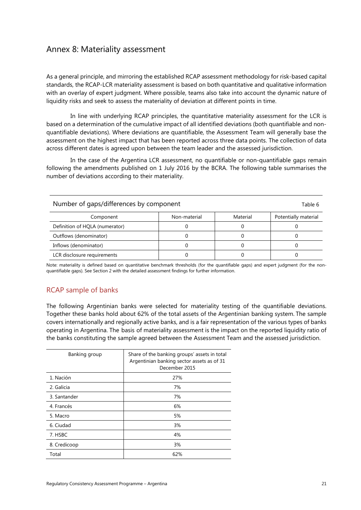## <span id="page-24-0"></span>Annex 8: Materiality assessment

As a general principle, and mirroring the established RCAP assessment methodology for risk-based capital standards, the RCAP-LCR materiality assessment is based on both quantitative and qualitative information with an overlay of expert judgment. Where possible, teams also take into account the dynamic nature of liquidity risks and seek to assess the materiality of deviation at different points in time.

In line with underlying RCAP principles, the quantitative materiality assessment for the LCR is based on a determination of the cumulative impact of all identified deviations (both quantifiable and nonquantifiable deviations). Where deviations are quantifiable, the Assessment Team will generally base the assessment on the highest impact that has been reported across three data points. The collection of data across different dates is agreed upon between the team leader and the assessed jurisdiction.

In the case of the Argentina LCR assessment, no quantifiable or non-quantifiable gaps remain following the amendments published on 1 July 2016 by the BCRA. The following table summarises the number of deviations according to their materiality.

| Number of gaps/differences by component<br>Table 6 |              |          |                      |
|----------------------------------------------------|--------------|----------|----------------------|
| Component                                          | Non-material | Material | Potentially material |
| Definition of HOLA (numerator)                     |              |          |                      |
| Outflows (denominator)                             |              |          |                      |
| Inflows (denominator)                              |              |          |                      |
| LCR disclosure requirements                        |              |          |                      |

Note: materiality is defined based on quantitative benchmark thresholds (for the quantifiable gaps) and expert judgment (for the nonquantifiable gaps). See Section 2 with the detailed assessment findings for further information.

### RCAP sample of banks

The following Argentinian banks were selected for materiality testing of the quantifiable deviations. Together these banks hold about 62% of the total assets of the Argentinian banking system. The sample covers internationally and regionally active banks, and is a fair representation of the various types of banks operating in Argentina. The basis of materiality assessment is the impact on the reported liquidity ratio of the banks constituting the sample agreed between the Assessment Team and the assessed jurisdiction.

| Banking group | Share of the banking groups' assets in total<br>Argentinian banking sector assets as of 31<br>December 2015 |
|---------------|-------------------------------------------------------------------------------------------------------------|
| 1. Nación     | 27%                                                                                                         |
| 2. Galicia    | 7%                                                                                                          |
| 3. Santander  | 7%                                                                                                          |
| 4. Francés    | 6%                                                                                                          |
| 5. Macro      | 5%                                                                                                          |
| 6. Ciudad     | 3%                                                                                                          |
| 7. HSBC       | 4%                                                                                                          |
| 8. Credicoop  | 3%                                                                                                          |
| Total         | 62%                                                                                                         |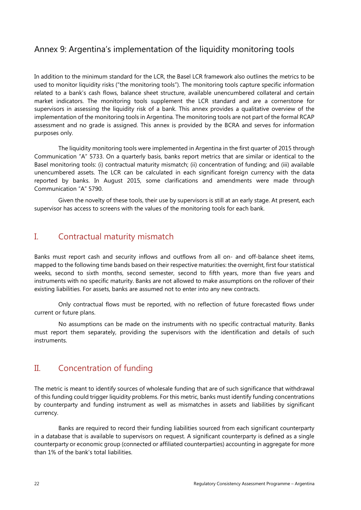# <span id="page-25-0"></span>Annex 9: Argentina's implementation of the liquidity monitoring tools

In addition to the minimum standard for the LCR, the Basel LCR framework also outlines the metrics to be used to monitor liquidity risks ("the monitoring tools"). The monitoring tools capture specific information related to a bank's cash flows, balance sheet structure, available unencumbered collateral and certain market indicators. The monitoring tools supplement the LCR standard and are a cornerstone for supervisors in assessing the liquidity risk of a bank. This annex provides a qualitative overview of the implementation of the monitoring tools in Argentina. The monitoring tools are not part of the formal RCAP assessment and no grade is assigned. This annex is provided by the BCRA and serves for information purposes only.

The liquidity monitoring tools were implemented in Argentina in the first quarter of 2015 through Communication "A" 5733. On a quarterly basis, banks report metrics that are similar or identical to the Basel monitoring tools: (i) contractual maturity mismatch; (ii) concentration of funding; and (iii) available unencumbered assets. The LCR can be calculated in each significant foreign currency with the data reported by banks. In August 2015, some clarifications and amendments were made through Communication "A" 5790.

Given the novelty of these tools, their use by supervisors is still at an early stage. At present, each supervisor has access to screens with the values of the monitoring tools for each bank.

# I. Contractual maturity mismatch

Banks must report cash and security inflows and outflows from all on- and off-balance sheet items, mapped to the following time bands based on their respective maturities: the overnight, first four statistical weeks, second to sixth months, second semester, second to fifth years, more than five years and instruments with no specific maturity. Banks are not allowed to make assumptions on the rollover of their existing liabilities. For assets, banks are assumed not to enter into any new contracts.

Only contractual flows must be reported, with no reflection of future forecasted flows under current or future plans.

No assumptions can be made on the instruments with no specific contractual maturity. Banks must report them separately, providing the supervisors with the identification and details of such instruments.

### II. Concentration of funding

The metric is meant to identify sources of wholesale funding that are of such significance that withdrawal of this funding could trigger liquidity problems. For this metric, banks must identify funding concentrations by counterparty and funding instrument as well as mismatches in assets and liabilities by significant currency.

Banks are required to record their funding liabilities sourced from each significant counterparty in a database that is available to supervisors on request. A significant counterparty is defined as a single counterparty or economic group (connected or affiliated counterparties) accounting in aggregate for more than 1% of the bank's total liabilities.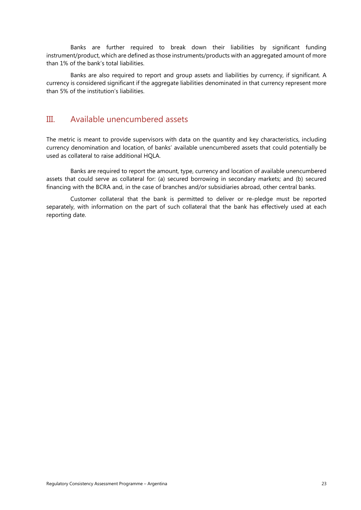Banks are further required to break down their liabilities by significant funding instrument/product, which are defined as those instruments/products with an aggregated amount of more than 1% of the bank's total liabilities.

Banks are also required to report and group assets and liabilities by currency, if significant. A currency is considered significant if the aggregate liabilities denominated in that currency represent more than 5% of the institution's liabilities.

### III. Available unencumbered assets

The metric is meant to provide supervisors with data on the quantity and key characteristics, including currency denomination and location, of banks' available unencumbered assets that could potentially be used as collateral to raise additional HQLA.

Banks are required to report the amount, type, currency and location of available unencumbered assets that could serve as collateral for: (a) secured borrowing in secondary markets; and (b) secured financing with the BCRA and, in the case of branches and/or subsidiaries abroad, other central banks.

Customer collateral that the bank is permitted to deliver or re-pledge must be reported separately, with information on the part of such collateral that the bank has effectively used at each reporting date.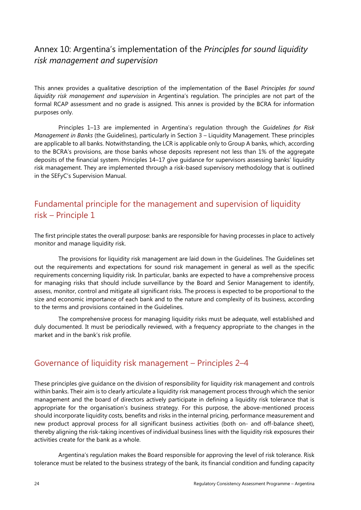# <span id="page-27-0"></span>Annex 10: Argentina's implementation of the *Principles for sound liquidity risk management and supervision*

This annex provides a qualitative description of the implementation of the Basel *Principles for sound liquidity risk management and supervision* in Argentina's regulation. The principles are not part of the formal RCAP assessment and no grade is assigned. This annex is provided by the BCRA for information purposes only.

Principles 1–13 are implemented in Argentina's regulation through the *Guidelines for Risk Management in Banks* (the Guidelines), particularly in Section 3 – Liquidity Management. These principles are applicable to all banks. Notwithstanding, the LCR is applicable only to Group A banks, which, according to the BCRA's provisions, are those banks whose deposits represent not less than 1% of the aggregate deposits of the financial system. Principles 14–17 give guidance for supervisors assessing banks' liquidity risk management. They are implemented through a risk-based supervisory methodology that is outlined in the SEFyC's Supervision Manual.

# Fundamental principle for the management and supervision of liquidity risk – Principle 1

The first principle states the overall purpose: banks are responsible for having processes in place to actively monitor and manage liquidity risk.

The provisions for liquidity risk management are laid down in the Guidelines. The Guidelines set out the requirements and expectations for sound risk management in general as well as the specific requirements concerning liquidity risk. In particular, banks are expected to have a comprehensive process for managing risks that should include surveillance by the Board and Senior Management to identify, assess, monitor, control and mitigate all significant risks. The process is expected to be proportional to the size and economic importance of each bank and to the nature and complexity of its business, according to the terms and provisions contained in the Guidelines.

The comprehensive process for managing liquidity risks must be adequate, well established and duly documented. It must be periodically reviewed, with a frequency appropriate to the changes in the market and in the bank's risk profile.

# Governance of liquidity risk management – Principles 2–4

These principles give guidance on the division of responsibility for liquidity risk management and controls within banks. Their aim is to clearly articulate a liquidity risk management process through which the senior management and the board of directors actively participate in defining a liquidity risk tolerance that is appropriate for the organisation's business strategy. For this purpose, the above-mentioned process should incorporate liquidity costs, benefits and risks in the internal pricing, performance measurement and new product approval process for all significant business activities (both on- and off-balance sheet), thereby aligning the risk-taking incentives of individual business lines with the liquidity risk exposures their activities create for the bank as a whole.

Argentina's regulation makes the Board responsible for approving the level of risk tolerance. Risk tolerance must be related to the business strategy of the bank, its financial condition and funding capacity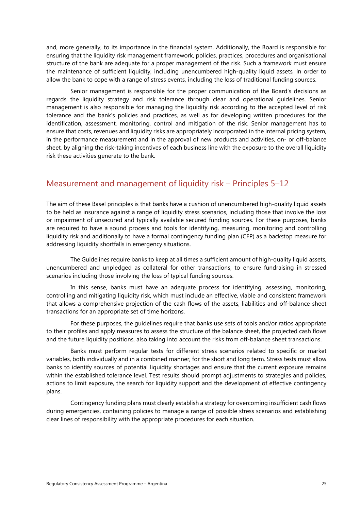and, more generally, to its importance in the financial system. Additionally, the Board is responsible for ensuring that the liquidity risk management framework, policies, practices, procedures and organisational structure of the bank are adequate for a proper management of the risk. Such a framework must ensure the maintenance of sufficient liquidity, including unencumbered high-quality liquid assets, in order to allow the bank to cope with a range of stress events, including the loss of traditional funding sources.

Senior management is responsible for the proper communication of the Board's decisions as regards the liquidity strategy and risk tolerance through clear and operational guidelines. Senior management is also responsible for managing the liquidity risk according to the accepted level of risk tolerance and the bank's policies and practices, as well as for developing written procedures for the identification, assessment, monitoring, control and mitigation of the risk. Senior management has to ensure that costs, revenues and liquidity risks are appropriately incorporated in the internal pricing system, in the performance measurement and in the approval of new products and activities, on- or off-balance sheet, by aligning the risk-taking incentives of each business line with the exposure to the overall liquidity risk these activities generate to the bank.

# Measurement and management of liquidity risk – Principles 5–12

The aim of these Basel principles is that banks have a cushion of unencumbered high-quality liquid assets to be held as insurance against a range of liquidity stress scenarios, including those that involve the loss or impairment of unsecured and typically available secured funding sources. For these purposes, banks are required to have a sound process and tools for identifying, measuring, monitoring and controlling liquidity risk and additionally to have a formal contingency funding plan (CFP) as a backstop measure for addressing liquidity shortfalls in emergency situations.

The Guidelines require banks to keep at all times a sufficient amount of high-quality liquid assets, unencumbered and unpledged as collateral for other transactions, to ensure fundraising in stressed scenarios including those involving the loss of typical funding sources.

In this sense, banks must have an adequate process for identifying, assessing, monitoring, controlling and mitigating liquidity risk, which must include an effective, viable and consistent framework that allows a comprehensive projection of the cash flows of the assets, liabilities and off-balance sheet transactions for an appropriate set of time horizons.

For these purposes, the guidelines require that banks use sets of tools and/or ratios appropriate to their profiles and apply measures to assess the structure of the balance sheet, the projected cash flows and the future liquidity positions, also taking into account the risks from off-balance sheet transactions.

Banks must perform regular tests for different stress scenarios related to specific or market variables, both individually and in a combined manner, for the short and long term. Stress tests must allow banks to identify sources of potential liquidity shortages and ensure that the current exposure remains within the established tolerance level. Test results should prompt adjustments to strategies and policies, actions to limit exposure, the search for liquidity support and the development of effective contingency plans.

Contingency funding plans must clearly establish a strategy for overcoming insufficient cash flows during emergencies, containing policies to manage a range of possible stress scenarios and establishing clear lines of responsibility with the appropriate procedures for each situation.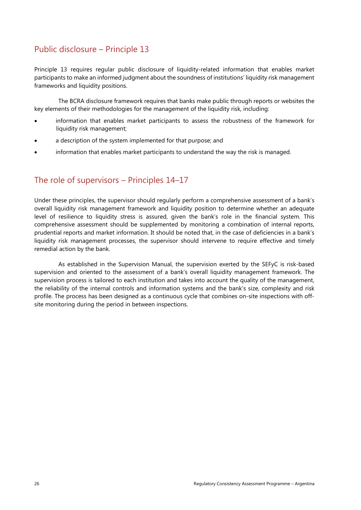# Public disclosure – Principle 13

Principle 13 requires regular public disclosure of liquidity-related information that enables market participants to make an informed judgment about the soundness of institutions' liquidity risk management frameworks and liquidity positions.

The BCRA disclosure framework requires that banks make public through reports or websites the key elements of their methodologies for the management of the liquidity risk, including:

- information that enables market participants to assess the robustness of the framework for liquidity risk management;
- a description of the system implemented for that purpose; and
- information that enables market participants to understand the way the risk is managed.

# The role of supervisors – Principles 14–17

Under these principles, the supervisor should regularly perform a comprehensive assessment of a bank's overall liquidity risk management framework and liquidity position to determine whether an adequate level of resilience to liquidity stress is assured, given the bank's role in the financial system. This comprehensive assessment should be supplemented by monitoring a combination of internal reports, prudential reports and market information. It should be noted that, in the case of deficiencies in a bank's liquidity risk management processes, the supervisor should intervene to require effective and timely remedial action by the bank.

As established in the Supervision Manual, the supervision exerted by the SEFyC is risk-based supervision and oriented to the assessment of a bank's overall liquidity management framework. The supervision process is tailored to each institution and takes into account the quality of the management, the reliability of the internal controls and information systems and the bank's size, complexity and risk profile. The process has been designed as a continuous cycle that combines on-site inspections with offsite monitoring during the period in between inspections.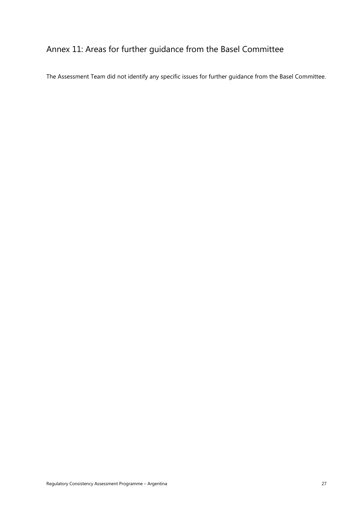# <span id="page-30-0"></span>Annex 11: Areas for further guidance from the Basel Committee

The Assessment Team did not identify any specific issues for further guidance from the Basel Committee.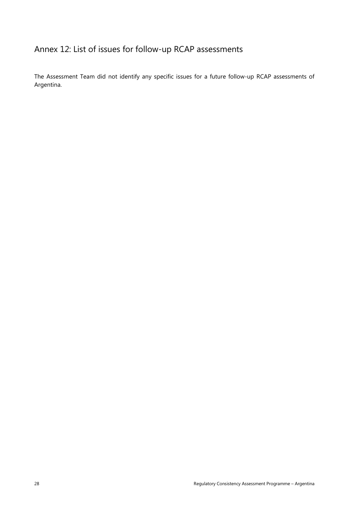# <span id="page-31-0"></span>Annex 12: List of issues for follow-up RCAP assessments

The Assessment Team did not identify any specific issues for a future follow-up RCAP assessments of Argentina.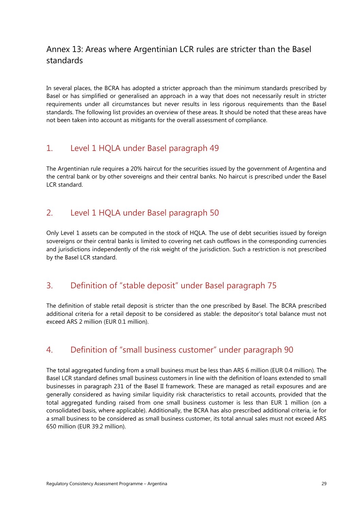# <span id="page-32-0"></span>Annex 13: Areas where Argentinian LCR rules are stricter than the Basel standards

In several places, the BCRA has adopted a stricter approach than the minimum standards prescribed by Basel or has simplified or generalised an approach in a way that does not necessarily result in stricter requirements under all circumstances but never results in less rigorous requirements than the Basel standards. The following list provides an overview of these areas. It should be noted that these areas have not been taken into account as mitigants for the overall assessment of compliance.

# 1. Level 1 HQLA under Basel paragraph 49

The Argentinian rule requires a 20% haircut for the securities issued by the government of Argentina and the central bank or by other sovereigns and their central banks. No haircut is prescribed under the Basel LCR standard.

# 2. Level 1 HQLA under Basel paragraph 50

Only Level 1 assets can be computed in the stock of HQLA. The use of debt securities issued by foreign sovereigns or their central banks is limited to covering net cash outflows in the corresponding currencies and jurisdictions independently of the risk weight of the jurisdiction. Such a restriction is not prescribed by the Basel LCR standard.

# 3. Definition of "stable deposit" under Basel paragraph 75

The definition of stable retail deposit is stricter than the one prescribed by Basel. The BCRA prescribed additional criteria for a retail deposit to be considered as stable: the depositor's total balance must not exceed ARS 2 million (EUR 0.1 million).

# 4. Definition of "small business customer" under paragraph 90

The total aggregated funding from a small business must be less than ARS 6 million (EUR 0.4 million). The Basel LCR standard defines small business customers in line with the definition of loans extended to small businesses in paragraph 231 of the Basel II framework. These are managed as retail exposures and are generally considered as having similar liquidity risk characteristics to retail accounts, provided that the total aggregated funding raised from one small business customer is less than EUR 1 million (on a consolidated basis, where applicable). Additionally, the BCRA has also prescribed additional criteria, ie for a small business to be considered as small business customer, its total annual sales must not exceed ARS 650 million (EUR 39.2 million).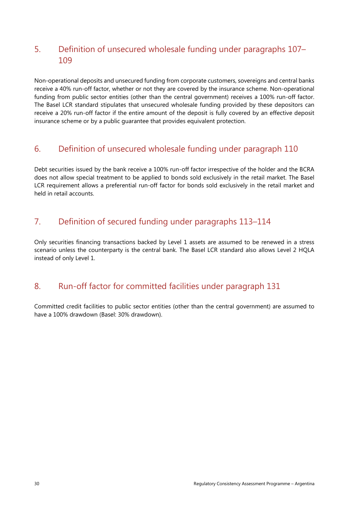# 5. Definition of unsecured wholesale funding under paragraphs 107– 109

Non-operational deposits and unsecured funding from corporate customers, sovereigns and central banks receive a 40% run-off factor, whether or not they are covered by the insurance scheme. Non-operational funding from public sector entities (other than the central government) receives a 100% run-off factor. The Basel LCR standard stipulates that unsecured wholesale funding provided by these depositors can receive a 20% run-off factor if the entire amount of the deposit is fully covered by an effective deposit insurance scheme or by a public guarantee that provides equivalent protection.

# 6. Definition of unsecured wholesale funding under paragraph 110

Debt securities issued by the bank receive a 100% run-off factor irrespective of the holder and the BCRA does not allow special treatment to be applied to bonds sold exclusively in the retail market. The Basel LCR requirement allows a preferential run-off factor for bonds sold exclusively in the retail market and held in retail accounts.

# 7. Definition of secured funding under paragraphs 113–114

Only securities financing transactions backed by Level 1 assets are assumed to be renewed in a stress scenario unless the counterparty is the central bank. The Basel LCR standard also allows Level 2 HQLA instead of only Level 1.

# 8. Run-off factor for committed facilities under paragraph 131

Committed credit facilities to public sector entities (other than the central government) are assumed to have a 100% drawdown (Basel: 30% drawdown).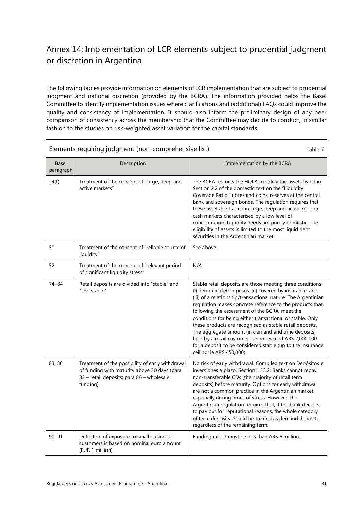# <span id="page-34-0"></span>Annex 14: Implementation of LCR elements subject to prudential judgment or discretion in Argentina

The following tables provide information on elements of LCR implementation that are subject to prudential judgment and national discretion (provided by the BCRA). The information provided helps the Basel Committee to identify implementation issues where clarifications and (additional) FAQs could improve the quality and consistency of implementation. It should also inform the preliminary design of any peer comparison of consistency across the membership that the Committee may decide to conduct, in similar fashion to the studies on risk-weighted asset variation for the capital standards.

| Basel<br>paragraph | Description                                                                                                                                               | Implementation by the BCRA                                                                                                                                                                                                                                                                                                                                                                                                                                                                                                                                                                                                                |
|--------------------|-----------------------------------------------------------------------------------------------------------------------------------------------------------|-------------------------------------------------------------------------------------------------------------------------------------------------------------------------------------------------------------------------------------------------------------------------------------------------------------------------------------------------------------------------------------------------------------------------------------------------------------------------------------------------------------------------------------------------------------------------------------------------------------------------------------------|
| 24(f)              | Treatment of the concept of "large, deep and<br>active markets"                                                                                           | The BCRA restricts the HQLA to solely the assets listed in<br>Section 2.2 of the domestic text on the "Liquidity<br>Coverage Ratio": notes and coins, reserves at the central<br>bank and sovereign bonds. The regulation requires that<br>these assets be traded in large, deep and active repo or<br>cash markets characterised by a low level of<br>concentration. Liquidity needs are purely domestic. The<br>eligibility of assets is limited to the most liquid debt<br>securities in the Argentinian market.                                                                                                                       |
| 50                 | Treatment of the concept of "reliable source of<br>liquidity"                                                                                             | See above.                                                                                                                                                                                                                                                                                                                                                                                                                                                                                                                                                                                                                                |
| 52                 | Treatment of the concept of "relevant period<br>of significant liquidity stress"                                                                          | N/A                                                                                                                                                                                                                                                                                                                                                                                                                                                                                                                                                                                                                                       |
| 74-84              | Retail deposits are divided into "stable" and<br>"less stable"                                                                                            | Stable retail deposits are those meeting three conditions:<br>(i) denominated in pesos; (ii) covered by insurance; and<br>(iii) of a relationship/transactional nature. The Argentinian<br>regulation makes concrete reference to the products that,<br>following the assessment of the BCRA, meet the<br>conditions for being either transactional or stable. Only<br>these products are recognised as stable retail deposits.<br>The aggregate amount (in demand and time deposits)<br>held by a retail customer cannot exceed ARS 2,000,000<br>for a deposit to be considered stable (up to the insurance<br>ceiling: ie ARS 450,000). |
| 83, 86             | Treatment of the possibility of early withdrawal<br>of funding with maturity above 30 days (para<br>83 - retail deposits; para 86 - wholesale<br>funding) | No risk of early withdrawal. Compiled text on Depósitos e<br>inversiones a plazo, Section 1.13.2: Banks cannot repay<br>non-transferable CDs (the majority of retail term<br>deposits) before maturity. Options for early withdrawal<br>are not a common practice in the Argentinian market,<br>especially during times of stress. However, the<br>Argentinian regulation requires that, if the bank decides<br>to pay out for reputational reasons, the whole category<br>of term deposits should be treated as demand deposits,<br>regardless of the remaining term.                                                                    |
| $90 - 91$          | Definition of exposure to small business<br>customers is based on nominal euro amount<br>(EUR 1 million)                                                  | Funding raised must be less than ARS 6 million.                                                                                                                                                                                                                                                                                                                                                                                                                                                                                                                                                                                           |

Elements requiring judgment (non-comprehensive list) Table 7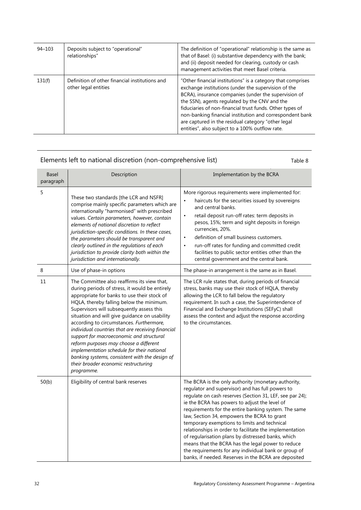| $94 - 103$ | Deposits subject to "operational"<br>relationships"                    | The definition of "operational" relationship is the same as<br>that of Basel: (i) substantive dependency with the bank;<br>and (ii) deposit needed for clearing, custody or cash<br>management activities that meet Basel criteria.                                                                                                                                                                                                                          |
|------------|------------------------------------------------------------------------|--------------------------------------------------------------------------------------------------------------------------------------------------------------------------------------------------------------------------------------------------------------------------------------------------------------------------------------------------------------------------------------------------------------------------------------------------------------|
| 131(f)     | Definition of other financial institutions and<br>other legal entities | "Other financial institutions" is a category that comprises<br>exchange institutions (under the supervision of the<br>BCRA), insurance companies (under the supervision of<br>the SSN), agents regulated by the CNV and the<br>fiduciaries of non-financial trust funds. Other types of<br>non-banking financial institution and correspondent bank<br>are captured in the residual category "other legal<br>entities", also subject to a 100% outflow rate. |

Elements left to national discretion (non-comprehensive list) Table 8

| <b>Basel</b><br>paragraph | Description                                                                                                                                                                                                                                                                                                                                                                                                                                                                                                                                                                                                                         | Implementation by the BCRA                                                                                                                                                                                                                                                                                                                                                                                                                                                                                                                                                                                                                                        |
|---------------------------|-------------------------------------------------------------------------------------------------------------------------------------------------------------------------------------------------------------------------------------------------------------------------------------------------------------------------------------------------------------------------------------------------------------------------------------------------------------------------------------------------------------------------------------------------------------------------------------------------------------------------------------|-------------------------------------------------------------------------------------------------------------------------------------------------------------------------------------------------------------------------------------------------------------------------------------------------------------------------------------------------------------------------------------------------------------------------------------------------------------------------------------------------------------------------------------------------------------------------------------------------------------------------------------------------------------------|
| 5                         | These two standards [the LCR and NSFR]<br>comprise mainly specific parameters which are<br>internationally "harmonised" with prescribed<br>values. Certain parameters, however, contain<br>elements of national discretion to reflect<br>jurisdiction-specific conditions. In these cases,<br>the parameters should be transparent and<br>clearly outlined in the regulations of each<br>jurisdiction to provide clarity both within the<br>jurisdiction and internationally.                                                                                                                                                       | More rigorous requirements were implemented for:<br>haircuts for the securities issued by sovereigns<br>and central banks.<br>retail deposit run-off rates: term deposits in<br>$\bullet$<br>pesos, 15%; term and sight deposits in foreign<br>currencies, 20%.<br>definition of small business customers.<br>$\bullet$<br>run-off rates for funding and committed credit<br>$\bullet$<br>facilities to public sector entities other than the<br>central government and the central bank.                                                                                                                                                                         |
| 8                         | Use of phase-in options                                                                                                                                                                                                                                                                                                                                                                                                                                                                                                                                                                                                             | The phase-in arrangement is the same as in Basel.                                                                                                                                                                                                                                                                                                                                                                                                                                                                                                                                                                                                                 |
| 11                        | The Committee also reaffirms its view that,<br>during periods of stress, it would be entirely<br>appropriate for banks to use their stock of<br>HQLA, thereby falling below the minimum.<br>Supervisors will subsequently assess this<br>situation and will give guidance on usability<br>according to circumstances. Furthermore,<br>individual countries that are receiving financial<br>support for macroeconomic and structural<br>reform purposes may choose a different<br>implementation schedule for their national<br>banking systems, consistent with the design of<br>their broader economic restructuring<br>programme. | The LCR rule states that, during periods of financial<br>stress, banks may use their stock of HQLA, thereby<br>allowing the LCR to fall below the regulatory<br>requirement. In such a case, the Superintendence of<br>Financial and Exchange Institutions (SEFyC) shall<br>assess the context and adjust the response according<br>to the circumstances.                                                                                                                                                                                                                                                                                                         |
| 50(b)                     | Eligibility of central bank reserves                                                                                                                                                                                                                                                                                                                                                                                                                                                                                                                                                                                                | The BCRA is the only authority (monetary authority,<br>regulator and supervisor) and has full powers to<br>regulate on cash reserves (Section 31, LEF, see par 24);<br>ie the BCRA has powers to adjust the level of<br>requirements for the entire banking system. The same<br>law, Section 34, empowers the BCRA to grant<br>temporary exemptions to limits and technical<br>relationships in order to facilitate the implementation<br>of regularisation plans by distressed banks, which<br>means that the BCRA has the legal power to reduce<br>the requirements for any individual bank or group of<br>banks, if needed. Reserves in the BCRA are deposited |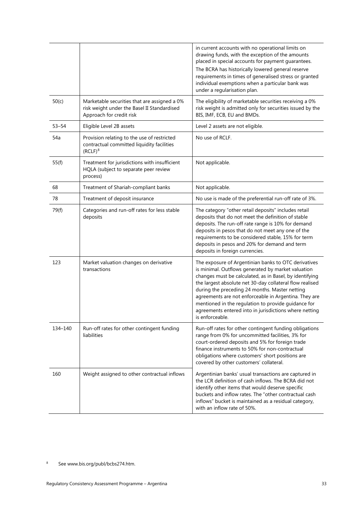|         |                                                                                                                         | in current accounts with no operational limits on<br>drawing funds, with the exception of the amounts<br>placed in special accounts for payment guarantees.<br>The BCRA has historically lowered general reserve<br>requirements in times of generalised stress or granted<br>individual exemptions when a particular bank was<br>under a regularisation plan.                                                                                                                   |
|---------|-------------------------------------------------------------------------------------------------------------------------|----------------------------------------------------------------------------------------------------------------------------------------------------------------------------------------------------------------------------------------------------------------------------------------------------------------------------------------------------------------------------------------------------------------------------------------------------------------------------------|
| 50(c)   | Marketable securities that are assigned a 0%<br>risk weight under the Basel II Standardised<br>Approach for credit risk | The eligibility of marketable securities receiving a 0%<br>risk weight is admitted only for securities issued by the<br>BIS, IMF, ECB, EU and BMDs.                                                                                                                                                                                                                                                                                                                              |
| 53–54   | Eligible Level 2B assets                                                                                                | Level 2 assets are not eligible.                                                                                                                                                                                                                                                                                                                                                                                                                                                 |
| 54a     | Provision relating to the use of restricted<br>contractual committed liquidity facilities<br>$(RCLF)^8$                 | No use of RCLF.                                                                                                                                                                                                                                                                                                                                                                                                                                                                  |
| 55(f)   | Treatment for jurisdictions with insufficient<br>HQLA (subject to separate peer review<br>process)                      | Not applicable.                                                                                                                                                                                                                                                                                                                                                                                                                                                                  |
| 68      | Treatment of Shariah-compliant banks                                                                                    | Not applicable.                                                                                                                                                                                                                                                                                                                                                                                                                                                                  |
| 78      | Treatment of deposit insurance                                                                                          | No use is made of the preferential run-off rate of 3%.                                                                                                                                                                                                                                                                                                                                                                                                                           |
| 79(f)   | Categories and run-off rates for less stable<br>deposits                                                                | The category "other retail deposits" includes retail<br>deposits that do not meet the definition of stable<br>deposits. The run-off rate range is 10% for demand<br>deposits in pesos that do not meet any one of the<br>requirements to be considered stable, 15% for term<br>deposits in pesos and 20% for demand and term<br>deposits in foreign currencies.                                                                                                                  |
| 123     | Market valuation changes on derivative<br>transactions                                                                  | The exposure of Argentinian banks to OTC derivatives<br>is minimal. Outflows generated by market valuation<br>changes must be calculated, as in Basel, by identifying<br>the largest absolute net 30-day collateral flow realised<br>during the preceding 24 months. Master netting<br>agreements are not enforceable in Argentina. They are<br>mentioned in the regulation to provide guidance for<br>agreements entered into in jurisdictions where netting<br>is enforceable. |
| 134-140 | Run-off rates for other contingent funding<br>liabilities                                                               | Run-off rates for other contingent funding obligations<br>range from 0% for uncommitted facilities, 3% for<br>court-ordered deposits and 5% for foreign trade<br>finance instruments to 50% for non-contractual<br>obligations where customers' short positions are<br>covered by other customers' collateral.                                                                                                                                                                   |
| 160     | Weight assigned to other contractual inflows                                                                            | Argentinian banks' usual transactions are captured in<br>the LCR definition of cash inflows. The BCRA did not<br>identify other items that would deserve specific<br>buckets and inflow rates. The "other contractual cash<br>inflows" bucket is maintained as a residual category,<br>with an inflow rate of 50%.                                                                                                                                                               |

<span id="page-36-0"></span><sup>8</sup> See www.bis.org/publ/bcbs274.htm.